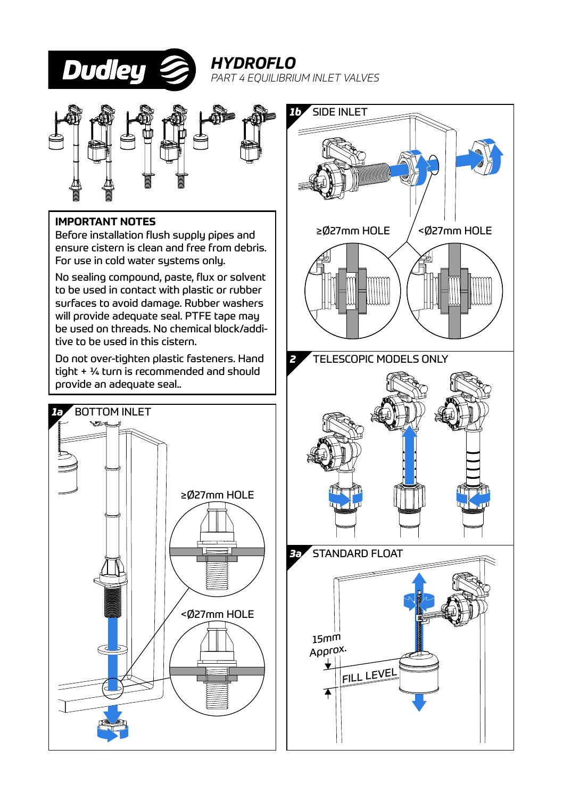

*HYDROFLO PART 4 EQUILIBRIUM INLET VALVES*